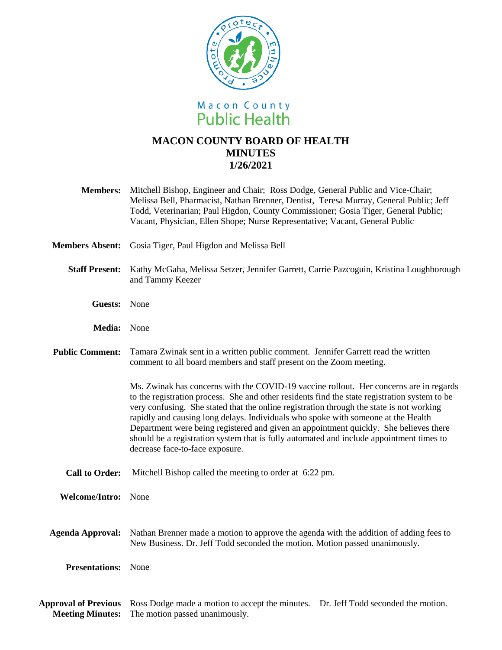

# **MACON COUNTY BOARD OF HEALTH MINUTES 1/26/2021**

- **Members:** Mitchell Bishop, Engineer and Chair; Ross Dodge, General Public and Vice-Chair; Melissa Bell, Pharmacist, Nathan Brenner, Dentist, Teresa Murray, General Public; Jeff Todd, Veterinarian; Paul Higdon, County Commissioner; Gosia Tiger, General Public; Vacant, Physician, Ellen Shope; Nurse Representative; Vacant, General Public
- **Members Absent:** Gosia Tiger, Paul Higdon and Melissa Bell
	- **Staff Present:** Kathy McGaha, Melissa Setzer, Jennifer Garrett, Carrie Pazcoguin, Kristina Loughborough and Tammy Keezer
		- **Guests:** None
		- **Media:** None
- Public Comment: Tamara Zwinak sent in a written public comment. Jennifer Garrett read the written comment to all board members and staff present on the Zoom meeting.

Ms. Zwinak has concerns with the COVID-19 vaccine rollout. Her concerns are in regards to the registration process. She and other residents find the state registration system to be very confusing. She stated that the online registration through the state is not working rapidly and causing long delays. Individuals who spoke with someone at the Health Department were being registered and given an appointment quickly. She believes there should be a registration system that is fully automated and include appointment times to decrease face-to-face exposure.

**Call to Order:** Mitchell Bishop called the meeting to order at 6:22 pm.

**Welcome/Intro:** None

**Agenda Approval:** Nathan Brenner made a motion to approve the agenda with the addition of adding fees to New Business. Dr. Jeff Todd seconded the motion. Motion passed unanimously.

**Presentations:** None

**Approval of Previous**  Ross Dodge made a motion to accept the minutes. Dr. Jeff Todd seconded the motion. **Meeting Minutes:** The motion passed unanimously.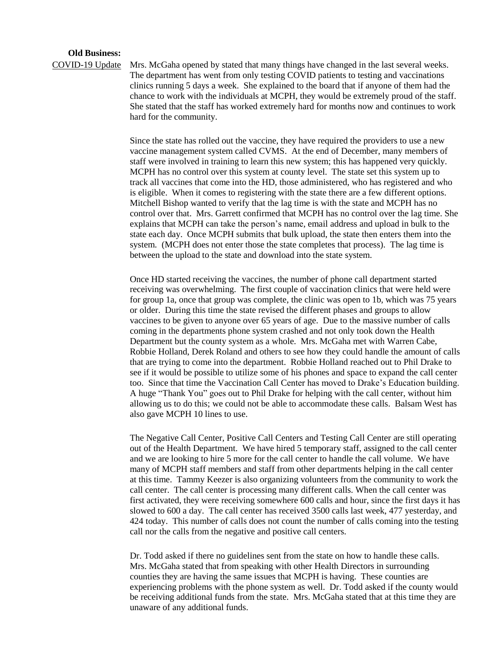### **Old Business:**

COVID-19 Update Mrs. McGaha opened by stated that many things have changed in the last several weeks. The department has went from only testing COVID patients to testing and vaccinations clinics running 5 days a week. She explained to the board that if anyone of them had the chance to work with the individuals at MCPH, they would be extremely proud of the staff. She stated that the staff has worked extremely hard for months now and continues to work hard for the community.

> Since the state has rolled out the vaccine, they have required the providers to use a new vaccine management system called CVMS. At the end of December, many members of staff were involved in training to learn this new system; this has happened very quickly. MCPH has no control over this system at county level. The state set this system up to track all vaccines that come into the HD, those administered, who has registered and who is eligible. When it comes to registering with the state there are a few different options. Mitchell Bishop wanted to verify that the lag time is with the state and MCPH has no control over that. Mrs. Garrett confirmed that MCPH has no control over the lag time. She explains that MCPH can take the person's name, email address and upload in bulk to the state each day. Once MCPH submits that bulk upload, the state then enters them into the system. (MCPH does not enter those the state completes that process). The lag time is between the upload to the state and download into the state system.

> Once HD started receiving the vaccines, the number of phone call department started receiving was overwhelming. The first couple of vaccination clinics that were held were for group 1a, once that group was complete, the clinic was open to 1b, which was 75 years or older. During this time the state revised the different phases and groups to allow vaccines to be given to anyone over 65 years of age. Due to the massive number of calls coming in the departments phone system crashed and not only took down the Health Department but the county system as a whole. Mrs. McGaha met with Warren Cabe, Robbie Holland, Derek Roland and others to see how they could handle the amount of calls that are trying to come into the department. Robbie Holland reached out to Phil Drake to see if it would be possible to utilize some of his phones and space to expand the call center too. Since that time the Vaccination Call Center has moved to Drake's Education building. A huge "Thank You" goes out to Phil Drake for helping with the call center, without him allowing us to do this; we could not be able to accommodate these calls. Balsam West has also gave MCPH 10 lines to use.

> The Negative Call Center, Positive Call Centers and Testing Call Center are still operating out of the Health Department. We have hired 5 temporary staff, assigned to the call center and we are looking to hire 5 more for the call center to handle the call volume. We have many of MCPH staff members and staff from other departments helping in the call center at this time. Tammy Keezer is also organizing volunteers from the community to work the call center. The call center is processing many different calls. When the call center was first activated, they were receiving somewhere 600 calls and hour, since the first days it has slowed to 600 a day. The call center has received 3500 calls last week, 477 yesterday, and 424 today. This number of calls does not count the number of calls coming into the testing call nor the calls from the negative and positive call centers.

> Dr. Todd asked if there no guidelines sent from the state on how to handle these calls. Mrs. McGaha stated that from speaking with other Health Directors in surrounding counties they are having the same issues that MCPH is having. These counties are experiencing problems with the phone system as well. Dr. Todd asked if the county would be receiving additional funds from the state. Mrs. McGaha stated that at this time they are unaware of any additional funds.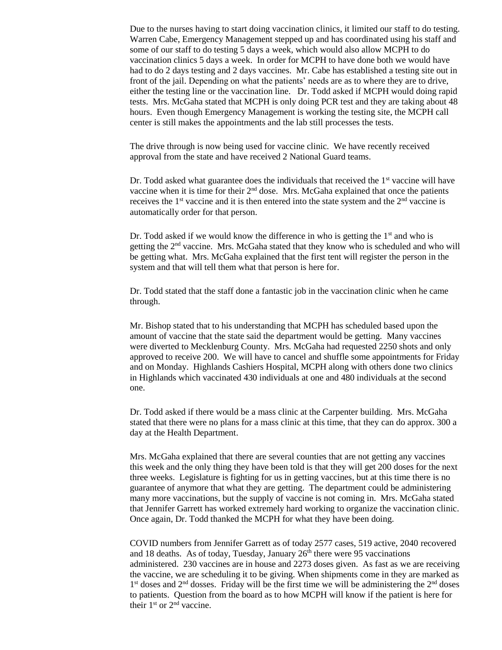Due to the nurses having to start doing vaccination clinics, it limited our staff to do testing. Warren Cabe, Emergency Management stepped up and has coordinated using his staff and some of our staff to do testing 5 days a week, which would also allow MCPH to do vaccination clinics 5 days a week. In order for MCPH to have done both we would have had to do 2 days testing and 2 days vaccines. Mr. Cabe has established a testing site out in front of the jail. Depending on what the patients' needs are as to where they are to drive, either the testing line or the vaccination line. Dr. Todd asked if MCPH would doing rapid tests. Mrs. McGaha stated that MCPH is only doing PCR test and they are taking about 48 hours. Even though Emergency Management is working the testing site, the MCPH call center is still makes the appointments and the lab still processes the tests.

The drive through is now being used for vaccine clinic. We have recently received approval from the state and have received 2 National Guard teams.

Dr. Todd asked what guarantee does the individuals that received the  $1<sup>st</sup>$  vaccine will have vaccine when it is time for their  $2<sup>nd</sup>$  dose. Mrs. McGaha explained that once the patients receives the 1<sup>st</sup> vaccine and it is then entered into the state system and the  $2<sup>nd</sup>$  vaccine is automatically order for that person.

Dr. Todd asked if we would know the difference in who is getting the  $1<sup>st</sup>$  and who is getting the  $2<sup>nd</sup>$  vaccine. Mrs. McGaha stated that they know who is scheduled and who will be getting what. Mrs. McGaha explained that the first tent will register the person in the system and that will tell them what that person is here for.

Dr. Todd stated that the staff done a fantastic job in the vaccination clinic when he came through.

Mr. Bishop stated that to his understanding that MCPH has scheduled based upon the amount of vaccine that the state said the department would be getting. Many vaccines were diverted to Mecklenburg County. Mrs. McGaha had requested 2250 shots and only approved to receive 200. We will have to cancel and shuffle some appointments for Friday and on Monday. Highlands Cashiers Hospital, MCPH along with others done two clinics in Highlands which vaccinated 430 individuals at one and 480 individuals at the second one.

Dr. Todd asked if there would be a mass clinic at the Carpenter building. Mrs. McGaha stated that there were no plans for a mass clinic at this time, that they can do approx. 300 a day at the Health Department.

Mrs. McGaha explained that there are several counties that are not getting any vaccines this week and the only thing they have been told is that they will get 200 doses for the next three weeks. Legislature is fighting for us in getting vaccines, but at this time there is no guarantee of anymore that what they are getting. The department could be administering many more vaccinations, but the supply of vaccine is not coming in. Mrs. McGaha stated that Jennifer Garrett has worked extremely hard working to organize the vaccination clinic. Once again, Dr. Todd thanked the MCPH for what they have been doing.

COVID numbers from Jennifer Garrett as of today 2577 cases, 519 active, 2040 recovered and 18 deaths. As of today, Tuesday, January  $26<sup>th</sup>$  there were 95 vaccinations administered. 230 vaccines are in house and 2273 doses given. As fast as we are receiving the vaccine, we are scheduling it to be giving. When shipments come in they are marked as 1<sup>st</sup> doses and 2<sup>nd</sup> dosses. Friday will be the first time we will be administering the 2<sup>nd</sup> doses to patients. Question from the board as to how MCPH will know if the patient is here for their 1<sup>st</sup> or 2<sup>nd</sup> vaccine.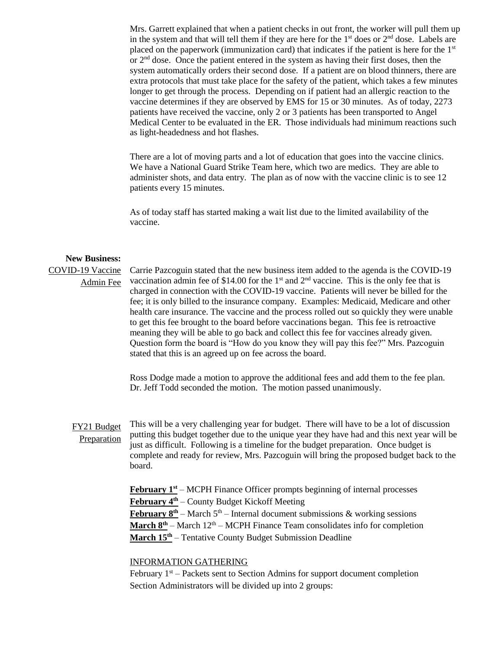Mrs. Garrett explained that when a patient checks in out front, the worker will pull them up in the system and that will tell them if they are here for the  $1<sup>st</sup>$  does or  $2<sup>nd</sup>$  dose. Labels are placed on the paperwork (immunization card) that indicates if the patient is here for the 1<sup>st</sup> or 2nd dose. Once the patient entered in the system as having their first doses, then the system automatically orders their second dose. If a patient are on blood thinners, there are extra protocols that must take place for the safety of the patient, which takes a few minutes longer to get through the process. Depending on if patient had an allergic reaction to the vaccine determines if they are observed by EMS for 15 or 30 minutes. As of today, 2273 patients have received the vaccine, only 2 or 3 patients has been transported to Angel Medical Center to be evaluated in the ER. Those individuals had minimum reactions such as light-headedness and hot flashes.

There are a lot of moving parts and a lot of education that goes into the vaccine clinics. We have a National Guard Strike Team here, which two are medics. They are able to administer shots, and data entry. The plan as of now with the vaccine clinic is to see 12 patients every 15 minutes.

As of today staff has started making a wait list due to the limited availability of the vaccine.

#### **New Business:**

# COVID-19 Vaccine Admin Fee

Carrie Pazcoguin stated that the new business item added to the agenda is the COVID-19 vaccination admin fee of \$14.00 for the  $1<sup>st</sup>$  and  $2<sup>nd</sup>$  vaccine. This is the only fee that is charged in connection with the COVID-19 vaccine. Patients will never be billed for the fee; it is only billed to the insurance company. Examples: Medicaid, Medicare and other health care insurance. The vaccine and the process rolled out so quickly they were unable to get this fee brought to the board before vaccinations began. This fee is retroactive meaning they will be able to go back and collect this fee for vaccines already given. Question form the board is "How do you know they will pay this fee?" Mrs. Pazcoguin stated that this is an agreed up on fee across the board.

Ross Dodge made a motion to approve the additional fees and add them to the fee plan. Dr. Jeff Todd seconded the motion. The motion passed unanimously.

FY21 Budget **Preparation** 

This will be a very challenging year for budget. There will have to be a lot of discussion putting this budget together due to the unique year they have had and this next year will be just as difficult. Following is a timeline for the budget preparation. Once budget is complete and ready for review, Mrs. Pazcoguin will bring the proposed budget back to the board.

**February 1st** – MCPH Finance Officer prompts beginning of internal processes **February 4th** – County Budget Kickoff Meeting **February**  $8^{th}$  – March  $5^{th}$  – Internal document submissions & working sessions **March**  $8^{th}$  – March  $12^{th}$  – MCPH Finance Team consolidates info for completion **March 15th** – Tentative County Budget Submission Deadline

# INFORMATION GATHERING

February  $1<sup>st</sup>$  – Packets sent to Section Admins for support document completion Section Administrators will be divided up into 2 groups: